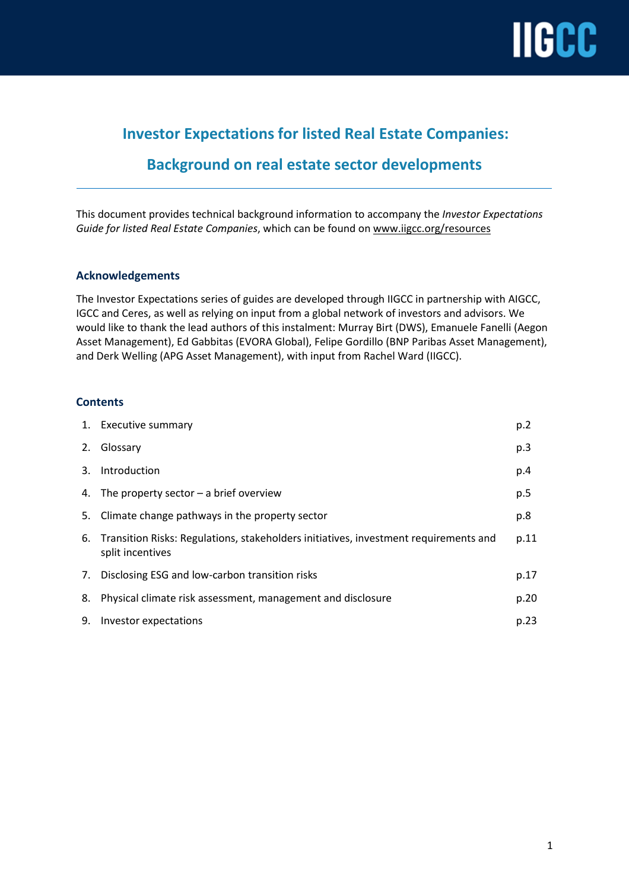

## **Investor Expectations for listed Real Estate Companies:**

## **Background on real estate sector developments**

This document provides technical background information to accompany the *Investor Expectations Guide for listed Real Estate Companies*, which can be found on [www.iigcc.org/resources](http://www.iigcc.org/resources)

## **Acknowledgements**

The Investor Expectations series of guides are developed through IIGCC in partnership with AIGCC, IGCC and Ceres, as well as relying on input from a global network of investors and advisors. We would like to thank the lead authors of this instalment: Murray Birt (DWS), Emanuele Fanelli (Aegon Asset Management), Ed Gabbitas (EVORA Global), Felipe Gordillo (BNP Paribas Asset Management), and Derk Welling (APG Asset Management), with input from Rachel Ward (IIGCC).

## **Contents**

|    | 1. Executive summary                                                                                        | p.2  |
|----|-------------------------------------------------------------------------------------------------------------|------|
| 2. | Glossary                                                                                                    | p.3  |
| 3. | Introduction                                                                                                | p.4  |
|    | 4. The property sector $-$ a brief overview                                                                 | p.5  |
|    | 5. Climate change pathways in the property sector                                                           | p.8  |
|    | 6. Transition Risks: Regulations, stakeholders initiatives, investment requirements and<br>split incentives | p.11 |
|    | 7. Disclosing ESG and low-carbon transition risks                                                           | p.17 |
| 8. | Physical climate risk assessment, management and disclosure                                                 | p.20 |
| 9. | Investor expectations                                                                                       | p.23 |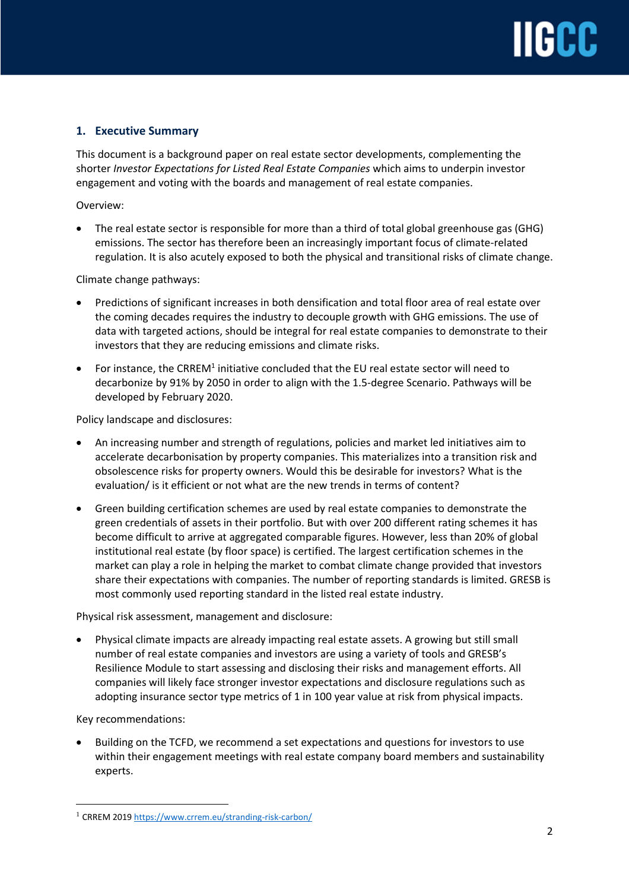## **1. Executive Summary**

This document is a background paper on real estate sector developments, complementing the shorter *Investor Expectations for Listed Real Estate Companies* which aims to underpin investor engagement and voting with the boards and management of real estate companies.

Overview:

• The real estate sector is responsible for more than a third of total global greenhouse gas (GHG) emissions. The sector has therefore been an increasingly important focus of climate-related regulation. It is also acutely exposed to both the physical and transitional risks of climate change.

Climate change pathways:

- Predictions of significant increases in both densification and total floor area of real estate over the coming decades requires the industry to decouple growth with GHG emissions. The use of data with targeted actions, should be integral for real estate companies to demonstrate to their investors that they are reducing emissions and climate risks.
- For instance, the CRREM<sup>1</sup> initiative concluded that the EU real estate sector will need to decarbonize by 91% by 2050 in order to align with the 1.5-degree Scenario. Pathways will be developed by February 2020.

Policy landscape and disclosures:

- An increasing number and strength of regulations, policies and market led initiatives aim to accelerate decarbonisation by property companies. This materializes into a transition risk and obsolescence risks for property owners. Would this be desirable for investors? What is the evaluation/ is it efficient or not what are the new trends in terms of content?
- Green building certification schemes are used by real estate companies to demonstrate the green credentials of assets in their portfolio. But with over 200 different rating schemes it has become difficult to arrive at aggregated comparable figures. However, less than 20% of global institutional real estate (by floor space) is certified. The largest certification schemes in the market can play a role in helping the market to combat climate change provided that investors share their expectations with companies. The number of reporting standards is limited. GRESB is most commonly used reporting standard in the listed real estate industry.

Physical risk assessment, management and disclosure:

• Physical climate impacts are already impacting real estate assets. A growing but still small number of real estate companies and investors are using a variety of tools and GRESB's Resilience Module to start assessing and disclosing their risks and management efforts. All companies will likely face stronger investor expectations and disclosure regulations such as adopting insurance sector type metrics of 1 in 100 year value at risk from physical impacts.

Key recommendations:

 $\overline{a}$ 

• Building on the TCFD, we recommend a set expectations and questions for investors to use within their engagement meetings with real estate company board members and sustainability experts.

<sup>1</sup> CRREM 201[9 https://www.crrem.eu/stranding-risk-carbon/](https://www.crrem.eu/stranding-risk-carbon/)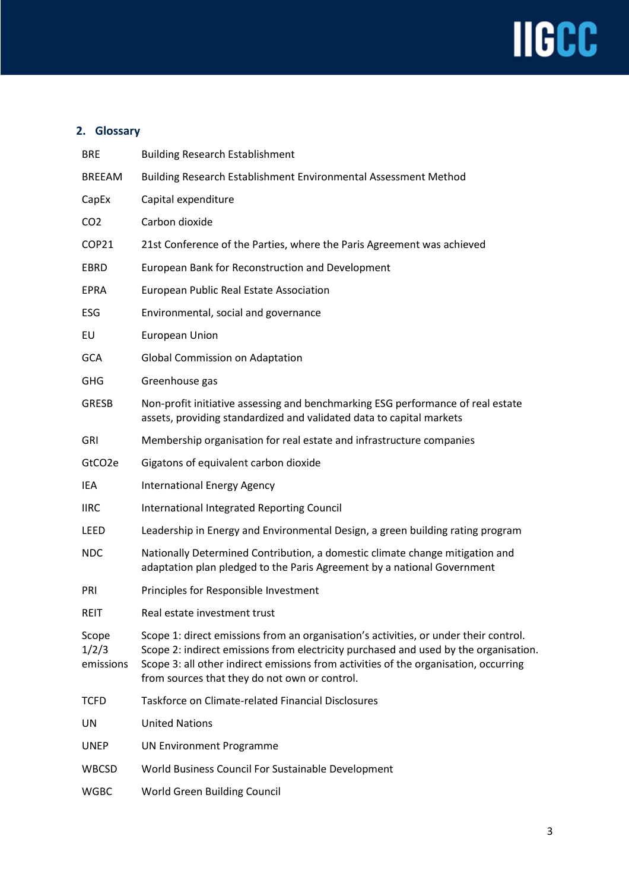

## **2. Glossary**

| <b>BRE</b>                  | <b>Building Research Establishment</b>                                                                                                                                                                                                                                                                                |
|-----------------------------|-----------------------------------------------------------------------------------------------------------------------------------------------------------------------------------------------------------------------------------------------------------------------------------------------------------------------|
| <b>BREEAM</b>               | Building Research Establishment Environmental Assessment Method                                                                                                                                                                                                                                                       |
| CapEx                       | Capital expenditure                                                                                                                                                                                                                                                                                                   |
| CO <sub>2</sub>             | Carbon dioxide                                                                                                                                                                                                                                                                                                        |
| COP21                       | 21st Conference of the Parties, where the Paris Agreement was achieved                                                                                                                                                                                                                                                |
| EBRD                        | European Bank for Reconstruction and Development                                                                                                                                                                                                                                                                      |
| <b>EPRA</b>                 | European Public Real Estate Association                                                                                                                                                                                                                                                                               |
| ESG                         | Environmental, social and governance                                                                                                                                                                                                                                                                                  |
| EU                          | European Union                                                                                                                                                                                                                                                                                                        |
| <b>GCA</b>                  | <b>Global Commission on Adaptation</b>                                                                                                                                                                                                                                                                                |
| <b>GHG</b>                  | Greenhouse gas                                                                                                                                                                                                                                                                                                        |
| <b>GRESB</b>                | Non-profit initiative assessing and benchmarking ESG performance of real estate<br>assets, providing standardized and validated data to capital markets                                                                                                                                                               |
| <b>GRI</b>                  | Membership organisation for real estate and infrastructure companies                                                                                                                                                                                                                                                  |
| GtCO <sub>2e</sub>          | Gigatons of equivalent carbon dioxide                                                                                                                                                                                                                                                                                 |
| IEA                         | <b>International Energy Agency</b>                                                                                                                                                                                                                                                                                    |
| <b>IIRC</b>                 | International Integrated Reporting Council                                                                                                                                                                                                                                                                            |
| LEED                        | Leadership in Energy and Environmental Design, a green building rating program                                                                                                                                                                                                                                        |
| <b>NDC</b>                  | Nationally Determined Contribution, a domestic climate change mitigation and<br>adaptation plan pledged to the Paris Agreement by a national Government                                                                                                                                                               |
| <b>PRI</b>                  | Principles for Responsible Investment                                                                                                                                                                                                                                                                                 |
| <b>REIT</b>                 | Real estate investment trust                                                                                                                                                                                                                                                                                          |
| Scope<br>1/2/3<br>emissions | Scope 1: direct emissions from an organisation's activities, or under their control.<br>Scope 2: indirect emissions from electricity purchased and used by the organisation.<br>Scope 3: all other indirect emissions from activities of the organisation, occurring<br>from sources that they do not own or control. |
| <b>TCFD</b>                 | <b>Taskforce on Climate-related Financial Disclosures</b>                                                                                                                                                                                                                                                             |
| UN                          | <b>United Nations</b>                                                                                                                                                                                                                                                                                                 |
| <b>UNEP</b>                 | <b>UN Environment Programme</b>                                                                                                                                                                                                                                                                                       |
| <b>WBCSD</b>                | World Business Council For Sustainable Development                                                                                                                                                                                                                                                                    |
| <b>WGBC</b>                 | World Green Building Council                                                                                                                                                                                                                                                                                          |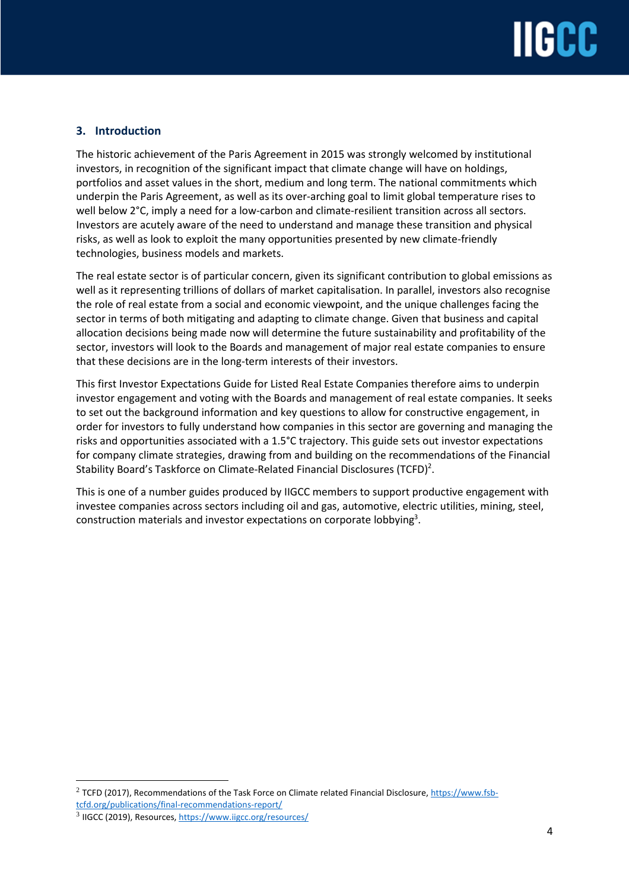## **IIGCC**

## **3. Introduction**

The historic achievement of the Paris Agreement in 2015 was strongly welcomed by institutional investors, in recognition of the significant impact that climate change will have on holdings, portfolios and asset values in the short, medium and long term. The national commitments which underpin the Paris Agreement, as well as its over-arching goal to limit global temperature rises to well below 2°C, imply a need for a low-carbon and climate-resilient transition across all sectors. Investors are acutely aware of the need to understand and manage these transition and physical risks, as well as look to exploit the many opportunities presented by new climate-friendly technologies, business models and markets.

The real estate sector is of particular concern, given its significant contribution to global emissions as well as it representing trillions of dollars of market capitalisation. In parallel, investors also recognise the role of real estate from a social and economic viewpoint, and the unique challenges facing the sector in terms of both mitigating and adapting to climate change. Given that business and capital allocation decisions being made now will determine the future sustainability and profitability of the sector, investors will look to the Boards and management of major real estate companies to ensure that these decisions are in the long-term interests of their investors.

This first Investor Expectations Guide for Listed Real Estate Companies therefore aims to underpin investor engagement and voting with the Boards and management of real estate companies. It seeks to set out the background information and key questions to allow for constructive engagement, in order for investors to fully understand how companies in this sector are governing and managing the risks and opportunities associated with a 1.5°C trajectory. This guide sets out investor expectations for company climate strategies, drawing from and building on the recommendations of the Financial Stability Board's Taskforce on Climate-Related Financial Disclosures (TCFD)<sup>2</sup>.

This is one of a number guides produced by IIGCC members to support productive engagement with investee companies across sectors including oil and gas, automotive, electric utilities, mining, steel, construction materials and investor expectations on corporate lobbying<sup>3</sup>.

<sup>&</sup>lt;sup>2</sup> TCFD (2017), Recommendations of the Task Force on Climate related Financial Disclosure,  $\frac{https://www.fsb$ [tcfd.org/publications/final-recommendations-report/](https://www.fsb-tcfd.org/publications/final-recommendations-report/)

<sup>&</sup>lt;sup>3</sup> IIGCC (2019), Resources[, https://www.iigcc.org/resources/](https://www.iigcc.org/resources/)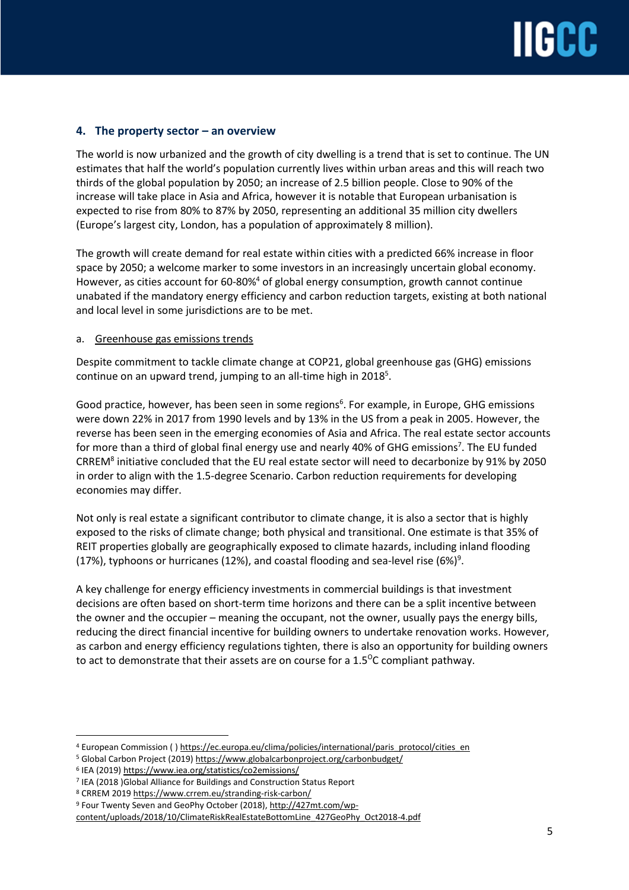## **4. The property sector – an overview**

The world is now urbanized and the growth of city dwelling is a trend that is set to continue. The UN estimates that half the world's population currently lives within urban areas and this will reach two thirds of the global population by 2050; an increase of 2.5 billion people. Close to 90% of the increase will take place in Asia and Africa, however it is notable that European urbanisation is expected to rise from 80% to 87% by 2050, representing an additional 35 million city dwellers (Europe's largest city, London, has a population of approximately 8 million).

The growth will create demand for real estate within cities with a predicted 66% increase in floor space by 2050; a welcome marker to some investors in an increasingly uncertain global economy. However, as cities account for 60-80%<sup>4</sup> of global energy consumption, growth cannot continue unabated if the mandatory energy efficiency and carbon reduction targets, existing at both national and local level in some jurisdictions are to be met.

### a. Greenhouse gas emissions trends

Despite commitment to tackle climate change at COP21, global greenhouse gas (GHG) emissions continue on an upward trend, jumping to an all-time high in 2018<sup>5</sup>.

Good practice, however, has been seen in some regions<sup>6</sup>. For example, in Europe, GHG emissions were down 22% in 2017 from 1990 levels and by 13% in the US from a peak in 2005. However, the reverse has been seen in the emerging economies of Asia and Africa. The real estate sector accounts for more than a third of global final energy use and nearly 40% of GHG emissions<sup>7</sup>. The EU funded CRREM<sup>8</sup> initiative concluded that the EU real estate sector will need to decarbonize by 91% by 2050 in order to align with the 1.5-degree Scenario. Carbon reduction requirements for developing economies may differ.

Not only is real estate a significant contributor to climate change, it is also a sector that is highly exposed to the risks of climate change; both physical and transitional. One estimate is that 35% of REIT properties globally are geographically exposed to climate hazards, including inland flooding (17%), typhoons or hurricanes (12%), and coastal flooding and sea-level rise (6%)<sup>9</sup>.

A key challenge for energy efficiency investments in commercial buildings is that investment decisions are often based on short-term time horizons and there can be a split incentive between the owner and the occupier – meaning the occupant, not the owner, usually pays the energy bills, reducing the direct financial incentive for building owners to undertake renovation works. However, as carbon and energy efficiency regulations tighten, there is also an opportunity for building owners to act to demonstrate that their assets are on course for a  $1.5\degree$ C compliant pathway.

<sup>4</sup> European Commission ( ) [https://ec.europa.eu/clima/policies/international/paris\\_protocol/cities\\_en](https://ec.europa.eu/clima/policies/international/paris_protocol/cities_en)

<sup>&</sup>lt;sup>5</sup> Global Carbon Project (2019) <https://www.globalcarbonproject.org/carbonbudget/>

<sup>6</sup> IEA (2019) <https://www.iea.org/statistics/co2emissions/>

<sup>7</sup> IEA (2018 )Global Alliance for Buildings and Construction Status Report

<sup>8</sup> CRREM 2019 <https://www.crrem.eu/stranding-risk-carbon/>

<sup>9</sup> Four Twenty Seven and GeoPhy October (2018), [http://427mt.com/wp-](http://427mt.com/wp-content/uploads/2018/10/ClimateRiskRealEstateBottomLine_427GeoPhy_Oct2018-4.pdf)

[content/uploads/2018/10/ClimateRiskRealEstateBottomLine\\_427GeoPhy\\_Oct2018-4.pdf](http://427mt.com/wp-content/uploads/2018/10/ClimateRiskRealEstateBottomLine_427GeoPhy_Oct2018-4.pdf)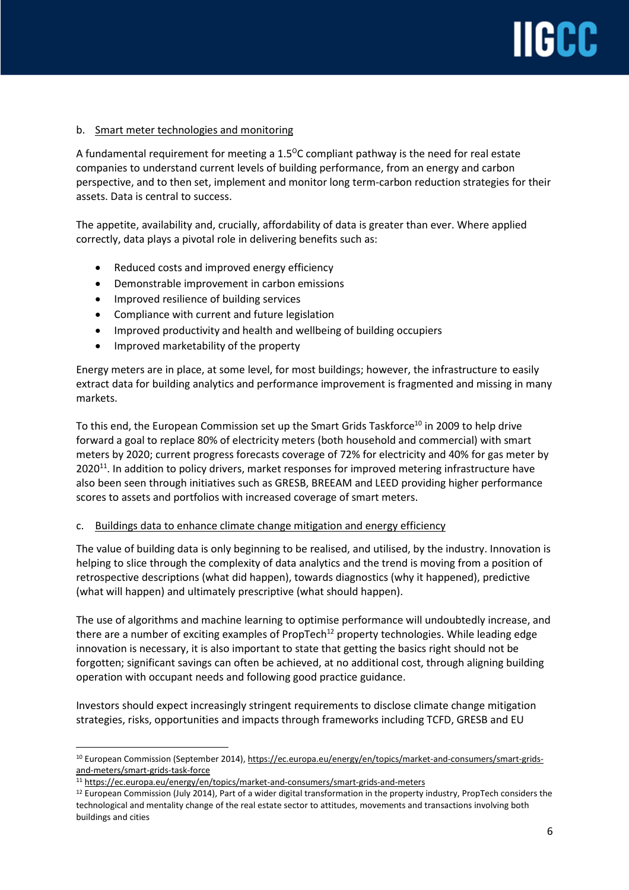# IGC

### b. Smart meter technologies and monitoring

A fundamental requirement for meeting a  $1.5^{\circ}$ C compliant pathway is the need for real estate companies to understand current levels of building performance, from an energy and carbon perspective, and to then set, implement and monitor long term-carbon reduction strategies for their assets. Data is central to success.

The appetite, availability and, crucially, affordability of data is greater than ever. Where applied correctly, data plays a pivotal role in delivering benefits such as:

- Reduced costs and improved energy efficiency
- Demonstrable improvement in carbon emissions
- Improved resilience of building services
- Compliance with current and future legislation
- Improved productivity and health and wellbeing of building occupiers
- Improved marketability of the property

Energy meters are in place, at some level, for most buildings; however, the infrastructure to easily extract data for building analytics and performance improvement is fragmented and missing in many markets.

To this end, the European Commission set up the Smart Grids Taskforce<sup>10</sup> in 2009 to help drive forward a goal to replace 80% of electricity meters (both household and commercial) with smart meters by 2020; current progress forecasts coverage of 72% for electricity and 40% for gas meter by 2020<sup>11</sup>. In addition to policy drivers, market responses for improved metering infrastructure have also been seen through initiatives such as GRESB, BREEAM and LEED providing higher performance scores to assets and portfolios with increased coverage of smart meters.

### c. Buildings data to enhance climate change mitigation and energy efficiency

The value of building data is only beginning to be realised, and utilised, by the industry. Innovation is helping to slice through the complexity of data analytics and the trend is moving from a position of retrospective descriptions (what did happen), towards diagnostics (why it happened), predictive (what will happen) and ultimately prescriptive (what should happen).

The use of algorithms and machine learning to optimise performance will undoubtedly increase, and there are a number of exciting examples of PropTech<sup>12</sup> property technologies. While leading edge innovation is necessary, it is also important to state that getting the basics right should not be forgotten; significant savings can often be achieved, at no additional cost, through aligning building operation with occupant needs and following good practice guidance.

Investors should expect increasingly stringent requirements to disclose climate change mitigation strategies, risks, opportunities and impacts through frameworks including TCFD, GRESB and EU

<sup>&</sup>lt;sup>10</sup> European Commission (September 2014), [https://ec.europa.eu/energy/en/topics/market-and-consumers/smart-grids](https://ec.europa.eu/energy/en/topics/market-and-consumers/smart-grids-and-meters/smart-grids-task-force)[and-meters/smart-grids-task-force](https://ec.europa.eu/energy/en/topics/market-and-consumers/smart-grids-and-meters/smart-grids-task-force) 

<sup>11</sup> <https://ec.europa.eu/energy/en/topics/market-and-consumers/smart-grids-and-meters>

<sup>&</sup>lt;sup>12</sup> European Commission (July 2014), Part of a wider digital transformation in the property industry, PropTech considers the technological and mentality change of the real estate sector to attitudes, movements and transactions involving both buildings and cities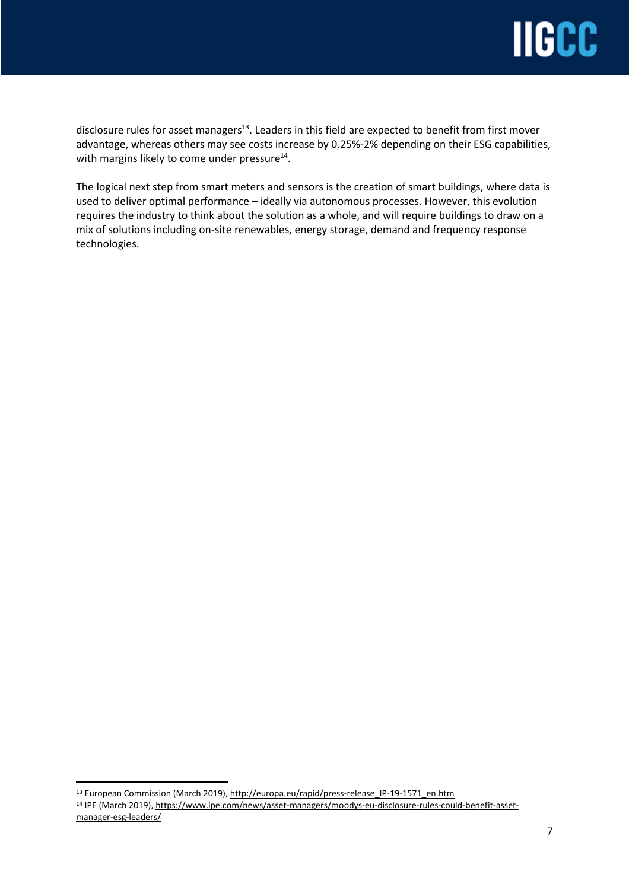

disclosure rules for asset managers $^{\text{13}}$ . Leaders in this field are expected to benefit from first mover advantage, whereas others may see costs increase by 0.25%-2% depending on their ESG capabilities, with margins likely to come under pressure $^{14}$ .

The logical next step from smart meters and sensors is the creation of smart buildings, where data is used to deliver optimal performance – ideally via autonomous processes. However, this evolution requires the industry to think about the solution as a whole, and will require buildings to draw on a mix of solutions including on-site renewables, energy storage, demand and frequency response technologies.

<sup>13</sup> European Commission (March 2019), [http://europa.eu/rapid/press-release\\_IP-19-1571\\_en.htm](http://europa.eu/rapid/press-release_IP-19-1571_en.htm)

<sup>14</sup> IPE (March 2019), [https://www.ipe.com/news/asset-managers/moodys-eu-disclosure-rules-could-benefit-asset](https://www.ipe.com/news/asset-managers/moodys-eu-disclosure-rules-could-benefit-asset-manager-esg-leaders/www.ipe.com/news/asset-managers/moodys-eu-disclosure-rules-could-benefit-asset-manager-esg-leaders/10030083.fullarticle)[manager-esg-leaders/](https://www.ipe.com/news/asset-managers/moodys-eu-disclosure-rules-could-benefit-asset-manager-esg-leaders/www.ipe.com/news/asset-managers/moodys-eu-disclosure-rules-could-benefit-asset-manager-esg-leaders/10030083.fullarticle)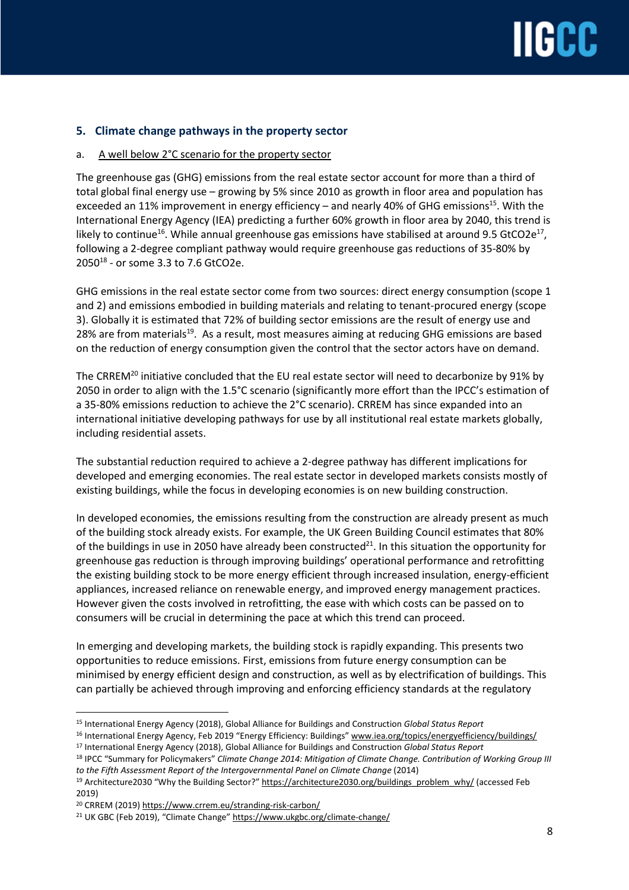## **5. Climate change pathways in the property sector**

## a. A well below 2°C scenario for the property sector

The greenhouse gas (GHG) emissions from the real estate sector account for more than a third of total global final energy use – growing by 5% since 2010 as growth in floor area and population has exceeded an 11% improvement in energy efficiency – and nearly 40% of GHG emissions<sup>15</sup>. With the International Energy Agency (IEA) predicting a further 60% growth in floor area by 2040, this trend is likely to continue<sup>16</sup>. While annual greenhouse gas emissions have stabilised at around 9.5 GtCO2e<sup>17</sup>, following a 2-degree compliant pathway would require greenhouse gas reductions of 35-80% by  $2050^{18}$  - or some 3.3 to 7.6 GtCO2e.

GHG emissions in the real estate sector come from two sources: direct energy consumption (scope 1 and 2) and emissions embodied in building materials and relating to tenant-procured energy (scope 3). Globally it is estimated that 72% of building sector emissions are the result of energy use and 28% are from materials<sup>19</sup>. As a result, most measures aiming at reducing GHG emissions are based on the reduction of energy consumption given the control that the sector actors have on demand.

The CRREM<sup>20</sup> initiative concluded that the EU real estate sector will need to decarbonize by 91% by 2050 in order to align with the 1.5°C scenario (significantly more effort than the IPCC's estimation of a 35-80% emissions reduction to achieve the 2°C scenario). CRREM has since expanded into an international initiative developing pathways for use by all institutional real estate markets globally, including residential assets.

The substantial reduction required to achieve a 2-degree pathway has different implications for developed and emerging economies. The real estate sector in developed markets consists mostly of existing buildings, while the focus in developing economies is on new building construction.

In developed economies, the emissions resulting from the construction are already present as much of the building stock already exists. For example, the UK Green Building Council estimates that 80% of the buildings in use in 2050 have already been constructed<sup>21</sup>. In this situation the opportunity for greenhouse gas reduction is through improving buildings' operational performance and retrofitting the existing building stock to be more energy efficient through increased insulation, energy-efficient appliances, increased reliance on renewable energy, and improved energy management practices. However given the costs involved in retrofitting, the ease with which costs can be passed on to consumers will be crucial in determining the pace at which this trend can proceed.

In emerging and developing markets, the building stock is rapidly expanding. This presents two opportunities to reduce emissions. First, emissions from future energy consumption can be minimised by energy efficient design and construction, as well as by electrification of buildings. This can partially be achieved through improving and enforcing efficiency standards at the regulatory

 $\overline{a}$ <sup>15</sup> International Energy Agency (2018), Global Alliance for Buildings and Construction *Global Status Report*

<sup>16</sup> International Energy Agency, Feb 2019 "Energy Efficiency: Buildings" [www.iea.org/topics/energyefficiency/buildings/](http://www.iea.org/topics/energyefficiency/buildings/)

<sup>17</sup> International Energy Agency (2018), Global Alliance for Buildings and Construction *Global Status Report*

<sup>18</sup> IPCC "Summary for Policymakers" *Climate Change 2014: Mitigation of Climate Change. Contribution of Working Group III to the Fifth Assessment Report of the Intergovernmental Panel on Climate Change* (2014)

<sup>&</sup>lt;sup>19</sup> Architecture2030 "Why the Building Sector?" [https://architecture2030.org/buildings\\_problem\\_why/](https://architecture2030.org/buildings_problem_why/) (accessed Feb 2019)

<sup>20</sup> CRREM (2019) <https://www.crrem.eu/stranding-risk-carbon/>

<sup>&</sup>lt;sup>21</sup> UK GBC (Feb 2019), "Climate Change" <https://www.ukgbc.org/climate-change/>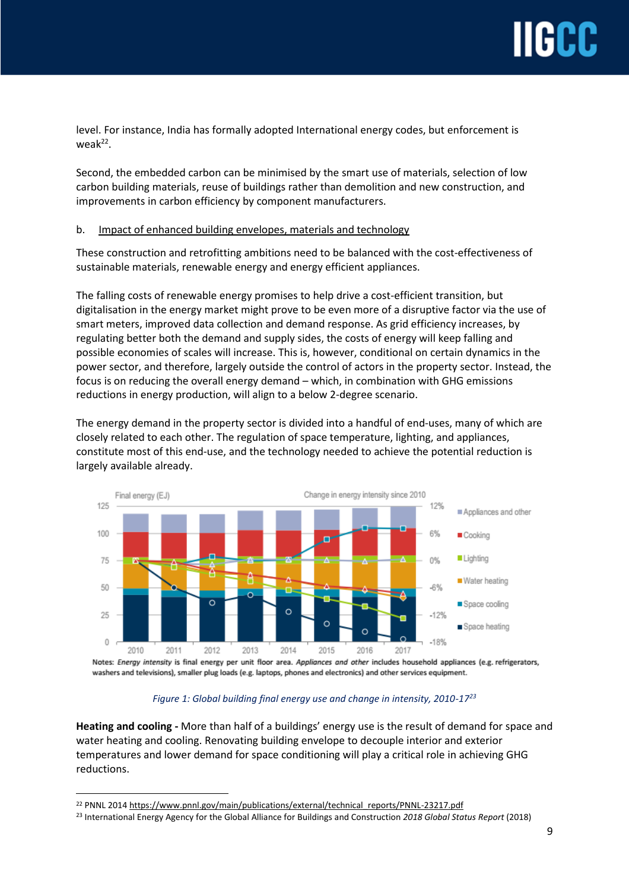level. For instance, India has formally adopted International energy codes, but enforcement is weak<sup>22</sup>.

Second, the embedded carbon can be minimised by the smart use of materials, selection of low carbon building materials, reuse of buildings rather than demolition and new construction, and improvements in carbon efficiency by component manufacturers.

## b. Impact of enhanced building envelopes, materials and technology

These construction and retrofitting ambitions need to be balanced with the cost-effectiveness of sustainable materials, renewable energy and energy efficient appliances.

The falling costs of renewable energy promises to help drive a cost-efficient transition, but digitalisation in the energy market might prove to be even more of a disruptive factor via the use of smart meters, improved data collection and demand response. As grid efficiency increases, by regulating better both the demand and supply sides, the costs of energy will keep falling and possible economies of scales will increase. This is, however, conditional on certain dynamics in the power sector, and therefore, largely outside the control of actors in the property sector. Instead, the focus is on reducing the overall energy demand – which, in combination with GHG emissions reductions in energy production, will align to a below 2-degree scenario.

The energy demand in the property sector is divided into a handful of end-uses, many of which are closely related to each other. The regulation of space temperature, lighting, and appliances, constitute most of this end-use, and the technology needed to achieve the potential reduction is largely available already.



Notes: Energy intensity is final energy per unit floor area. Appliances and other includes household appliances (e.g. refrigerators, washers and televisions), smaller plug loads (e.g. laptops, phones and electronics) and other services equipment.

### *Figure 1: Global building final energy use and change in intensity, 2010-17<sup>23</sup>*

**Heating and cooling -** More than half of a buildings' energy use is the result of demand for space and water heating and cooling. Renovating building envelope to decouple interior and exterior temperatures and lower demand for space conditioning will play a critical role in achieving GHG reductions.

<sup>&</sup>lt;sup>22</sup> PNNL 2014 [https://www.pnnl.gov/main/publications/external/technical\\_reports/PNNL-23217.pdf](https://www.pnnl.gov/main/publications/external/technical_reports/PNNL-23217.pdf)

<sup>23</sup> International Energy Agency for the Global Alliance for Buildings and Construction *2018 Global Status Report* (2018)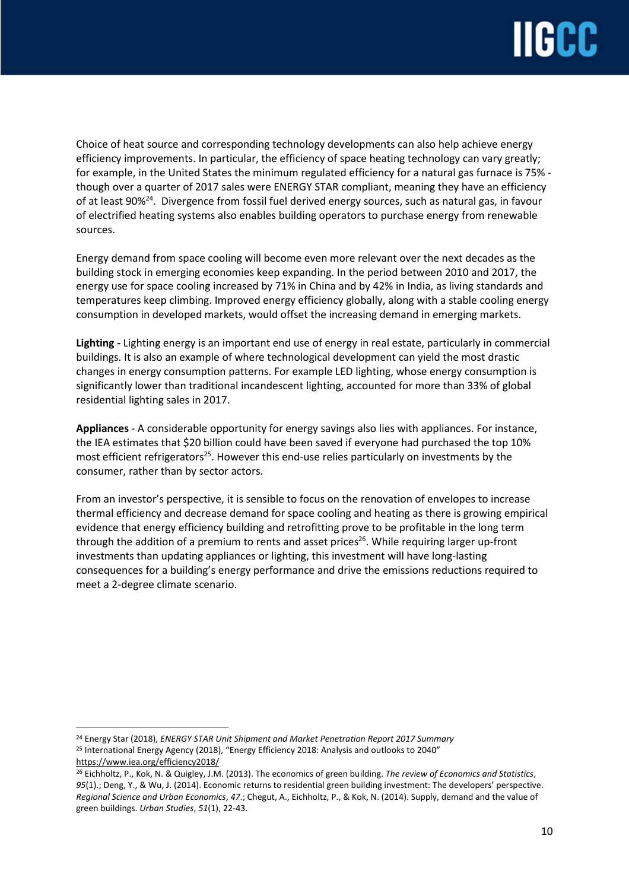

Choice of heat source and corresponding technology developments can also help achieve energy efficiency improvements. In particular, the efficiency of space heating technology can vary greatly; for example, in the United States the minimum regulated efficiency for a natural gas furnace is 75% though over a quarter of 2017 sales were ENERGY STAR compliant, meaning they have an efficiency of at least 90%<sup>24</sup>. Divergence from fossil fuel derived energy sources, such as natural gas, in favour of electrified heating systems also enables building operators to purchase energy from renewable sources.

Energy demand from space cooling will become even more relevant over the next decades as the building stock in emerging economies keep expanding. In the period between 2010 and 2017, the energy use for space cooling increased by 71% in China and by 42% in India, as living standards and temperatures keep climbing. Improved energy efficiency globally, along with a stable cooling energy consumption in developed markets, would offset the increasing demand in emerging markets.

**Lighting -** Lighting energy is an important end use of energy in real estate, particularly in commercial buildings. It is also an example of where technological development can yield the most drastic changes in energy consumption patterns. For example LED lighting, whose energy consumption is significantly lower than traditional incandescent lighting, accounted for more than 33% of global residential lighting sales in 2017.

**Appliances** - A considerable opportunity for energy savings also lies with appliances. For instance, the IEA estimates that \$20 billion could have been saved if everyone had purchased the top 10% most efficient refrigerators<sup>25</sup>. However this end-use relies particularly on investments by the consumer, rather than by sector actors.

From an investor's perspective, it is sensible to focus on the renovation of envelopes to increase thermal efficiency and decrease demand for space cooling and heating as there is growing empirical evidence that energy efficiency building and retrofitting prove to be profitable in the long term through the addition of a premium to rents and asset prices<sup>26</sup>. While requiring larger up-front investments than updating appliances or lighting, this investment will have long-lasting consequences for a building's energy performance and drive the emissions reductions required to meet a 2-degree climate scenario.

<sup>24</sup> Energy Star (2018), *ENERGY STAR Unit Shipment and Market Penetration Report 2017 Summary* <sup>25</sup> International Energy Agency (2018), "Energy Efficiency 2018: Analysis and outlooks to 2040" <https://www.iea.org/efficiency2018/>

<sup>26</sup> Eichholtz, P., Kok, N. & Quigley, J.M. (2013). The economics of green building. *The review of Economics and Statistics*, *95*(1).; Deng, Y., & Wu, J. (2014). Economic returns to residential green building investment: The developers' perspective. *Regional Science and Urban Economics*, *47*.; Chegut, A., Eichholtz, P., & Kok, N. (2014). Supply, demand and the value of green buildings. *Urban Studies*, *51*(1), 22-43.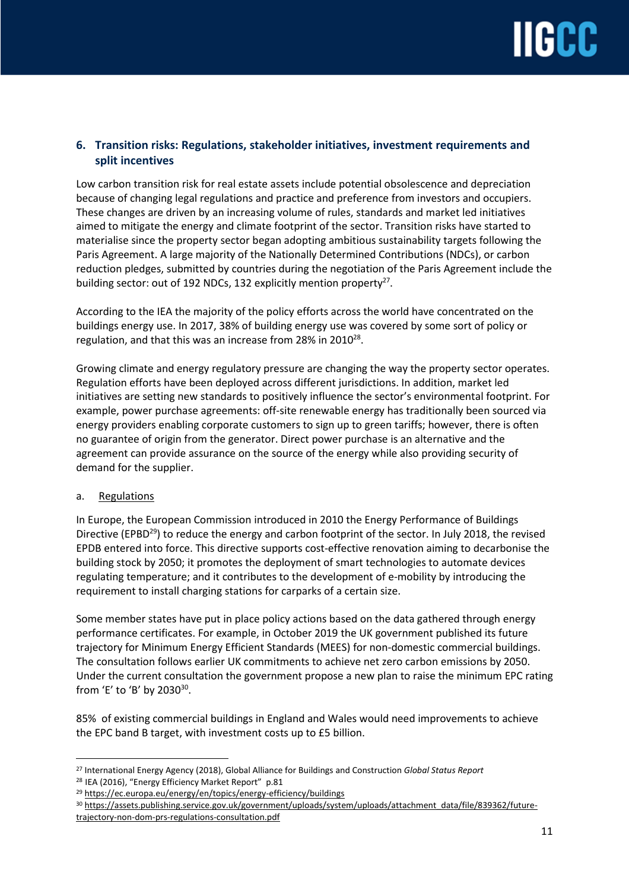

## **6. Transition risks: Regulations, stakeholder initiatives, investment requirements and split incentives**

Low carbon transition risk for real estate assets include potential obsolescence and depreciation because of changing legal regulations and practice and preference from investors and occupiers. These changes are driven by an increasing volume of rules, standards and market led initiatives aimed to mitigate the energy and climate footprint of the sector. Transition risks have started to materialise since the property sector began adopting ambitious sustainability targets following the Paris Agreement. A large majority of the Nationally Determined Contributions (NDCs), or carbon reduction pledges, submitted by countries during the negotiation of the Paris Agreement include the building sector: out of 192 NDCs, 132 explicitly mention property<sup>27</sup>.

According to the IEA the majority of the policy efforts across the world have concentrated on the buildings energy use. In 2017, 38% of building energy use was covered by some sort of policy or regulation, and that this was an increase from 28% in 2010<sup>28</sup>.

Growing climate and energy regulatory pressure are changing the way the property sector operates. Regulation efforts have been deployed across different jurisdictions. In addition, market led initiatives are setting new standards to positively influence the sector's environmental footprint. For example, power purchase agreements: off-site renewable energy has traditionally been sourced via energy providers enabling corporate customers to sign up to green tariffs; however, there is often no guarantee of origin from the generator. Direct power purchase is an alternative and the agreement can provide assurance on the source of the energy while also providing security of demand for the supplier.

### a. Regulations

In Europe, the European Commission introduced in 2010 the Energy Performance of Buildings Directive (EPBD<sup>29</sup>) to reduce the energy and carbon footprint of the sector. In July 2018, the revised EPDB entered into force. This directive supports cost-effective renovation aiming to decarbonise the building stock by 2050; it promotes the deployment of smart technologies to automate devices regulating temperature; and it contributes to the development of e-mobility by introducing the requirement to install charging stations for carparks of a certain size.

Some member states have put in place policy actions based on the data gathered through energy performance certificates. For example, in October 2019 the UK government published its future trajectory for Minimum Energy Efficient Standards (MEES) for non-domestic commercial buildings. The consultation follows earlier UK commitments to achieve net zero carbon emissions by 2050. Under the current consultation the government propose a new plan to raise the minimum EPC rating from 'E' to 'B' by 2030<sup>30</sup>.

85% of existing commercial buildings in England and Wales would need improvements to achieve the EPC band B target, with investment costs up to £5 billion.

 $\overline{a}$ <sup>27</sup> International Energy Agency (2018), Global Alliance for Buildings and Construction *Global Status Report*

<sup>&</sup>lt;sup>28</sup> IEA (2016), "Energy Efficiency Market Report" p.81

<sup>&</sup>lt;sup>29</sup> <https://ec.europa.eu/energy/en/topics/energy-efficiency/buildings>

<sup>30</sup> [https://assets.publishing.service.gov.uk/government/uploads/system/uploads/attachment\\_data/file/839362/future](https://assets.publishing.service.gov.uk/government/uploads/system/uploads/attachment_data/file/839362/future-trajectory-non-dom-prs-regulations-consultation.pdf)[trajectory-non-dom-prs-regulations-consultation.pdf](https://assets.publishing.service.gov.uk/government/uploads/system/uploads/attachment_data/file/839362/future-trajectory-non-dom-prs-regulations-consultation.pdf)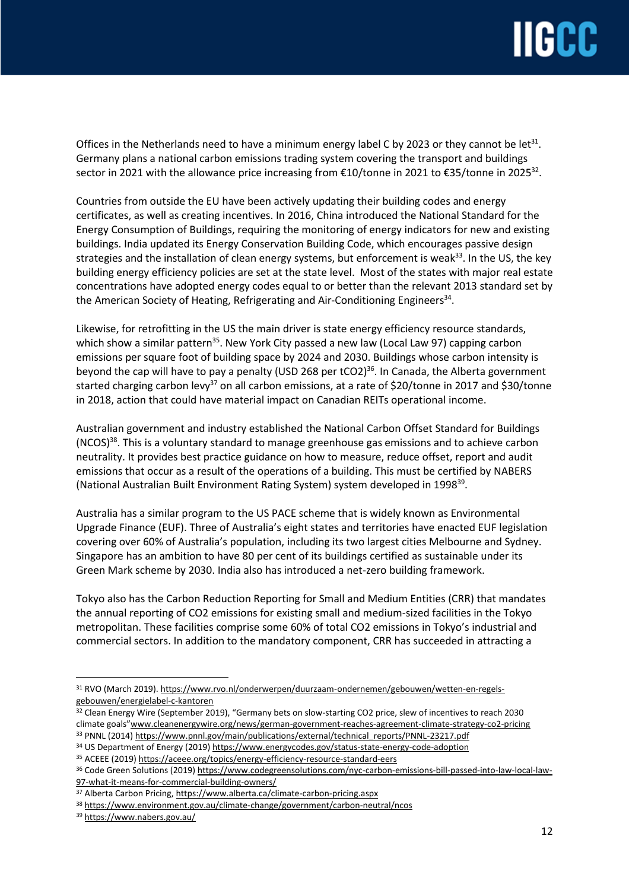## **IIGCC**

Offices in the Netherlands need to have a minimum energy label C by 2023 or they cannot be let $^{31}$ . Germany plans a national carbon emissions trading system covering the transport and buildings sector in 2021 with the allowance price increasing from €10/tonne in 2021 to €35/tonne in 2025 $^{32}$ .

Countries from outside the EU have been actively updating their building codes and energy certificates, as well as creating incentives. In 2016, China introduced the National Standard for the Energy Consumption of Buildings, requiring the monitoring of energy indicators for new and existing buildings. India updated its Energy Conservation Building Code, which encourages passive design strategies and the installation of clean energy systems, but enforcement is weak<sup>33</sup>. In the US, the key building energy efficiency policies are set at the state level. Most of the states with major real estate concentrations have adopted energy codes equal to or better than the relevant 2013 standard set by the American Society of Heating, Refrigerating and Air-Conditioning Engineers $^{\text{34}}$ .

Likewise, for retrofitting in the US the main driver is state energy efficiency resource standards, which show a similar pattern<sup>35</sup>. New York City passed a new law (Local Law 97) capping carbon emissions per square foot of building space by 2024 and 2030. Buildings whose carbon intensity is beyond the cap will have to pay a penalty (USD 268 per tCO2)<sup>36</sup>. In Canada, the Alberta government started charging carbon levy<sup>37</sup> on all carbon emissions, at a rate of \$20/tonne in 2017 and \$30/tonne in 2018, action that could have material impact on Canadian REITs operational income.

Australian government and industry established the National Carbon Offset Standard for Buildings (NCOS)<sup>38</sup>. This is a voluntary standard to manage greenhouse gas emissions and to achieve carbon neutrality. It provides best practice guidance on how to measure, reduce offset, report and audit emissions that occur as a result of the operations of a building. This must be certified by NABERS (National Australian Built Environment Rating System) system developed in 1998<sup>39</sup>.

Australia has a similar program to the US PACE scheme that is widely known as Environmental Upgrade Finance (EUF). Three of Australia's eight states and territories have enacted EUF legislation covering over 60% of Australia's population, including its two largest cities Melbourne and Sydney. Singapore has an ambition to have 80 per cent of its buildings certified as sustainable under its Green Mark scheme by 2030. India also has introduced a net-zero building framework.

Tokyo also has the Carbon Reduction Reporting for Small and Medium Entities (CRR) that mandates the annual reporting of CO2 emissions for existing small and medium-sized facilities in the Tokyo metropolitan. These facilities comprise some 60% of total CO2 emissions in Tokyo's industrial and commercial sectors. In addition to the mandatory component, CRR has succeeded in attracting a

<sup>31</sup> RVO (March 2019). [https://www.rvo.nl/onderwerpen/duurzaam-ondernemen/gebouwen/wetten-en-regels](https://www.rvo.nl/onderwerpen/duurzaam-ondernemen/gebouwen/wetten-en-regels-gebouwen/energielabel-c-kantoren)[gebouwen/energielabel-c-kantoren](https://www.rvo.nl/onderwerpen/duurzaam-ondernemen/gebouwen/wetten-en-regels-gebouwen/energielabel-c-kantoren)

<sup>&</sup>lt;sup>32</sup> Clean Energy Wire (September 2019), "Germany bets on slow-starting CO2 price, slew of incentives to reach 2030 climate goals"[www.cleanenergywire.org/news/german-government-reaches-agreement-climate-strategy-co2-pricing](http://www.cleanenergywire.org/news/german-government-reaches-agreement-climate-strategy-co2-pricing) 33 PNNL (2014) [https://www.pnnl.gov/main/publications/external/technical\\_reports/PNNL-23217.pdf](https://www.pnnl.gov/main/publications/external/technical_reports/PNNL-23217.pdf)

<sup>34</sup> US Department of Energy (2019) <https://www.energycodes.gov/status-state-energy-code-adoption>

<sup>35</sup> ACEEE (2019) <https://aceee.org/topics/energy-efficiency-resource-standard-eers>

<sup>36</sup> Code Green Solutions (2019) [https://www.codegreensolutions.com/nyc-carbon-emissions-bill-passed-into-law-local-law-](https://www.codegreensolutions.com/nyc-carbon-emissions-bill-passed-into-law-local-law-97-what-it-means-for-commercial-building-owners/)[97-what-it-means-for-commercial-building-owners/](https://www.codegreensolutions.com/nyc-carbon-emissions-bill-passed-into-law-local-law-97-what-it-means-for-commercial-building-owners/)

<sup>37</sup> Alberta Carbon Pricing, <https://www.alberta.ca/climate-carbon-pricing.aspx>

<sup>38</sup> <https://www.environment.gov.au/climate-change/government/carbon-neutral/ncos>

<sup>39</sup> <https://www.nabers.gov.au/>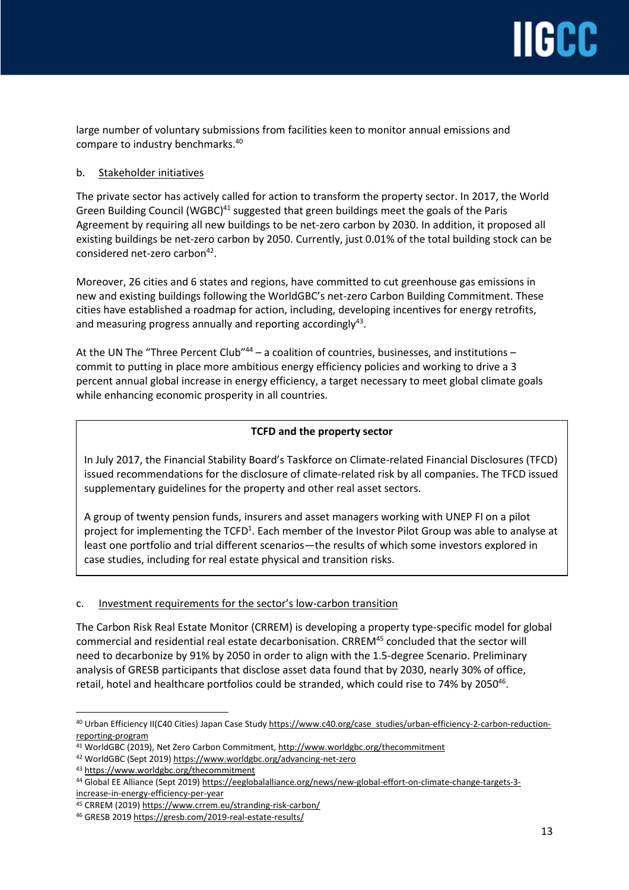large number of voluntary submissions from facilities keen to monitor annual emissions and compare to industry benchmarks.<sup>40</sup>

## b. Stakeholder initiatives

The private sector has actively called for action to transform the property sector. In 2017, the World Green Building Council (WGBC)<sup>41</sup> suggested that green buildings meet the goals of the Paris Agreement by requiring all new buildings to be net-zero carbon by 2030. In addition, it proposed all existing buildings be net-zero carbon by 2050. Currently, just 0.01% of the total building stock can be considered net-zero carbon<sup>42</sup>.

Moreover, 26 cities and 6 states and regions, have committed to cut greenhouse gas emissions in new and existing buildings following the WorldGBC's net-zero Carbon Building Commitment. These cities have established a roadmap for action, including, developing incentives for energy retrofits, and measuring progress annually and reporting accordingly $^{43}$ .

At the UN The "Three Percent Club"<sup>44</sup> – a coalition of countries, businesses, and institutions – commit to putting in place more ambitious energy efficiency policies and working to drive a 3 percent annual global increase in energy efficiency, a target necessary to meet global climate goals while enhancing economic prosperity in all countries.

## **TCFD and the property sector**

In July 2017, the Financial Stability Board's Taskforce on Climate-related Financial Disclosures (TFCD) issued recommendations for the disclosure of climate-related risk by all companies. The TFCD issued supplementary guidelines for the property and other real asset sectors.

A group of twenty pension funds, insurers and asset managers working with UNEP FI on a pilot project for implementing the TCFD<sup>1</sup>. Each member of the Investor Pilot Group was able to analyse at least one portfolio and trial different scenarios—the results of which some investors explored in case studies, including for real estate physical and transition risks.

## c. Investment requirements for the sector's low-carbon transition

The Carbon Risk Real Estate Monitor (CRREM) is developing a property type-specific model for global commercial and residential real estate decarbonisation. CRREM<sup>45</sup> concluded that the sector will need to decarbonize by 91% by 2050 in order to align with the 1.5-degree Scenario. Preliminary analysis of GRESB participants that disclose asset data found that by 2030, nearly 30% of office, retail, hotel and healthcare portfolios could be stranded, which could rise to 74% by 2050<sup>46</sup>.

 $\overline{a}$ <sup>40</sup> Urban Efficiency II(C40 Cities) Japan Case Study [https://www.c40.org/case\\_studies/urban-efficiency-2-carbon-reduction](https://www.c40.org/case_studies/urban-efficiency-2-carbon-reduction-reporting-program)[reporting-program](https://www.c40.org/case_studies/urban-efficiency-2-carbon-reduction-reporting-program)

<sup>41</sup> WorldGBC (2019), Net Zero Carbon Commitment, http://www.worldgbc.org/thecommitment

<sup>42</sup> WorldGBC (Sept 2019) <https://www.worldgbc.org/advancing-net-zero>

<sup>43</sup> <https://www.worldgbc.org/thecommitment>

<sup>44</sup> Global EE Alliance (Sept 2019) [https://eeglobalalliance.org/news/new-global-effort-on-climate-change-targets-3](https://eeglobalalliance.org/news/new-global-effort-on-climate-change-targets-3-increase-in-energy-efficiency-per-year) [increase-in-energy-efficiency-per-year](https://eeglobalalliance.org/news/new-global-effort-on-climate-change-targets-3-increase-in-energy-efficiency-per-year)

<sup>45</sup> CRREM (2019) <https://www.crrem.eu/stranding-risk-carbon/>

<sup>46</sup> GRESB 2019 <https://gresb.com/2019-real-estate-results/>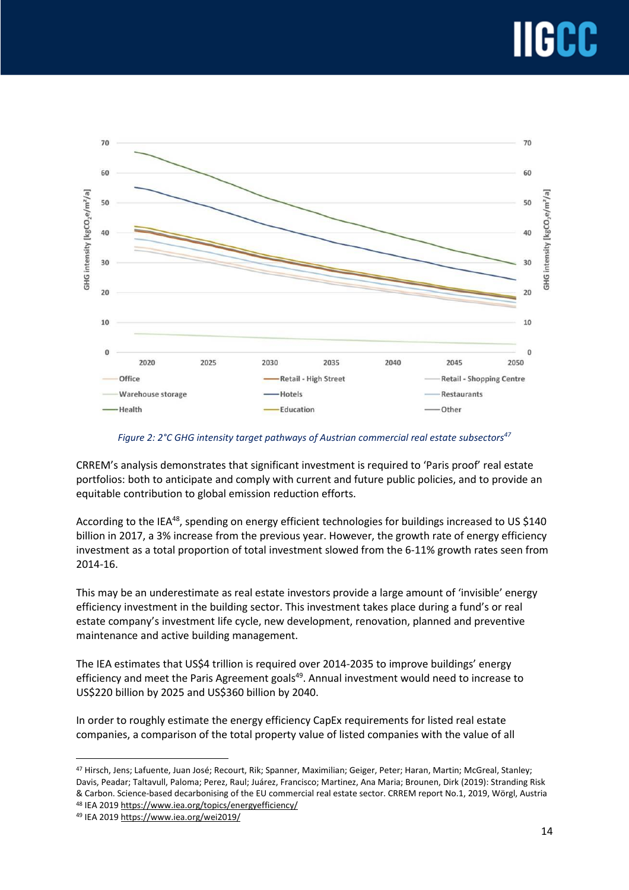

*Figure 2: 2°C GHG intensity target pathways of Austrian commercial real estate subsectors<sup>47</sup>*

CRREM's analysis demonstrates that significant investment is required to 'Paris proof' real estate portfolios: both to anticipate and comply with current and future public policies, and to provide an equitable contribution to global emission reduction efforts.

According to the IEA<sup>48</sup>, spending on energy efficient technologies for buildings increased to US \$140 billion in 2017, a 3% increase from the previous year. However, the growth rate of energy efficiency investment as a total proportion of total investment slowed from the 6-11% growth rates seen from 2014-16.

This may be an underestimate as real estate investors provide a large amount of 'invisible' energy efficiency investment in the building sector. This investment takes place during a fund's or real estate company's investment life cycle, new development, renovation, planned and preventive maintenance and active building management.

The IEA estimates that US\$4 trillion is required over 2014-2035 to improve buildings' energy efficiency and meet the Paris Agreement goals<sup>49</sup>. Annual investment would need to increase to US\$220 billion by 2025 and US\$360 billion by 2040.

In order to roughly estimate the energy efficiency CapEx requirements for listed real estate companies, a comparison of the total property value of listed companies with the value of all

<sup>48</sup> IEA 2019 <https://www.iea.org/topics/energyefficiency/>

<sup>47</sup> Hirsch, Jens; Lafuente, Juan José; Recourt, Rik; Spanner, Maximilian; Geiger, Peter; Haran, Martin; McGreal, Stanley; Davis, Peadar; Taltavull, Paloma; Perez, Raul; Juárez, Francisco; Martinez, Ana Maria; Brounen, Dirk (2019): Stranding Risk & Carbon. Science-based decarbonising of the EU commercial real estate sector. CRREM report No.1, 2019, Wörgl, Austria

<sup>49</sup> IEA 2019 <https://www.iea.org/wei2019/>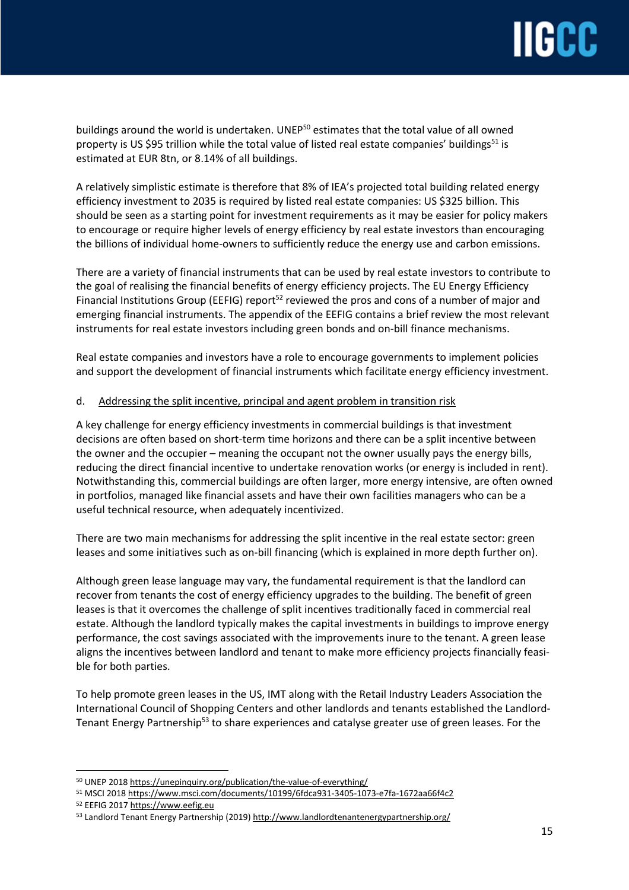buildings around the world is undertaken. UNEP<sup>50</sup> estimates that the total value of all owned property is US \$95 trillion while the total value of listed real estate companies' buildings<sup>51</sup> is estimated at EUR 8tn, or 8.14% of all buildings.

A relatively simplistic estimate is therefore that 8% of IEA's projected total building related energy efficiency investment to 2035 is required by listed real estate companies: US \$325 billion. This should be seen as a starting point for investment requirements as it may be easier for policy makers to encourage or require higher levels of energy efficiency by real estate investors than encouraging the billions of individual home-owners to sufficiently reduce the energy use and carbon emissions.

There are a variety of financial instruments that can be used by real estate investors to contribute to the goal of realising the financial benefits of energy efficiency projects. The EU Energy Efficiency Financial Institutions Group (EEFIG) report<sup>52</sup> reviewed the pros and cons of a number of major and emerging financial instruments. The appendix of the EEFIG contains a brief review the most relevant instruments for real estate investors including green bonds and on-bill finance mechanisms.

Real estate companies and investors have a role to encourage governments to implement policies and support the development of financial instruments which facilitate energy efficiency investment.

### d. Addressing the split incentive, principal and agent problem in transition risk

A key challenge for energy efficiency investments in commercial buildings is that investment decisions are often based on short-term time horizons and there can be a split incentive between the owner and the occupier – meaning the occupant not the owner usually pays the energy bills, reducing the direct financial incentive to undertake renovation works (or energy is included in rent). Notwithstanding this, commercial buildings are often larger, more energy intensive, are often owned in portfolios, managed like financial assets and have their own facilities managers who can be a useful technical resource, when adequately incentivized.

There are two main mechanisms for addressing the split incentive in the real estate sector: green leases and some initiatives such as on-bill financing (which is explained in more depth further on).

Although green lease language may vary, the fundamental requirement is that the landlord can recover from tenants the cost of energy efficiency upgrades to the building. The benefit of green leases is that it overcomes the challenge of split incentives traditionally faced in commercial real estate. Although the landlord typically makes the capital investments in buildings to improve energy performance, the cost savings associated with the improvements inure to the tenant. A green lease aligns the incentives between landlord and tenant to make more efficiency projects financially feasible for both parties.

To help promote green leases in the US, IMT along with the Retail Industry Leaders Association the International Council of Shopping Centers and other landlords and tenants established the Landlord-Tenant Energy Partnership<sup>53</sup> to share experiences and catalyse greater use of green leases. For the

<sup>50</sup> UNEP 2018 <https://unepinquiry.org/publication/the-value-of-everything/>

<sup>51</sup> MSCI 2018 <https://www.msci.com/documents/10199/6fdca931-3405-1073-e7fa-1672aa66f4c2>

<sup>52</sup> EEFIG 2017 [https://www.eefig.eu](https://www.eefig.eu/)

<sup>53</sup> Landlord Tenant Energy Partnership (2019) <http://www.landlordtenantenergypartnership.org/>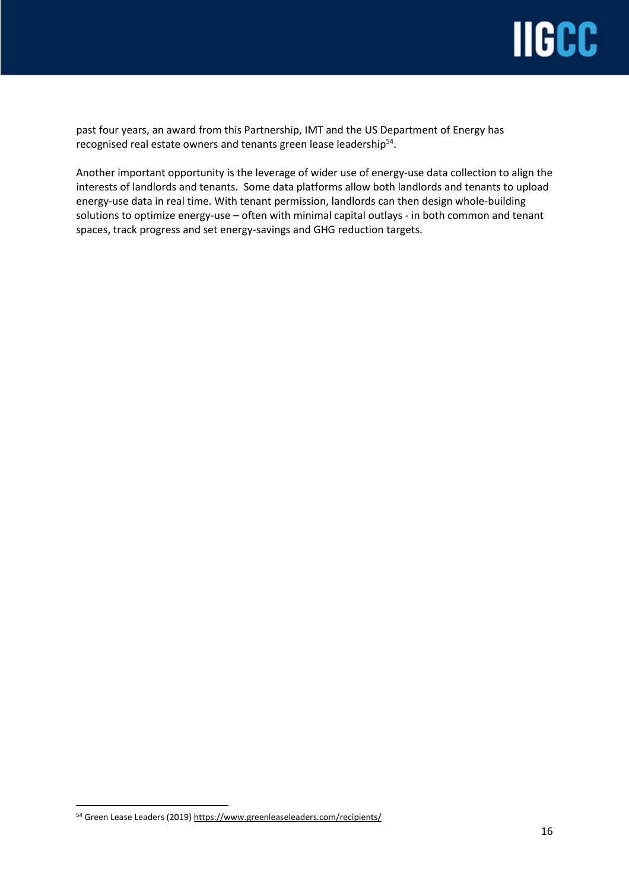

past four years, an award from this Partnership, IMT and the US Department of Energy has recognised real estate owners and tenants green lease leadership<sup>54</sup>.

Another important opportunity is the leverage of wider use of energy-use data collection to align the interests of landlords and tenants. Some data platforms allow both landlords and tenants to upload energy-use data in real time. With tenant permission, landlords can then design whole-building solutions to optimize energy-use – often with minimal capital outlays - in both common and tenant spaces, track progress and set energy-savings and GHG reduction targets.

<sup>54</sup> Green Lease Leaders (2019) <https://www.greenleaseleaders.com/recipients/>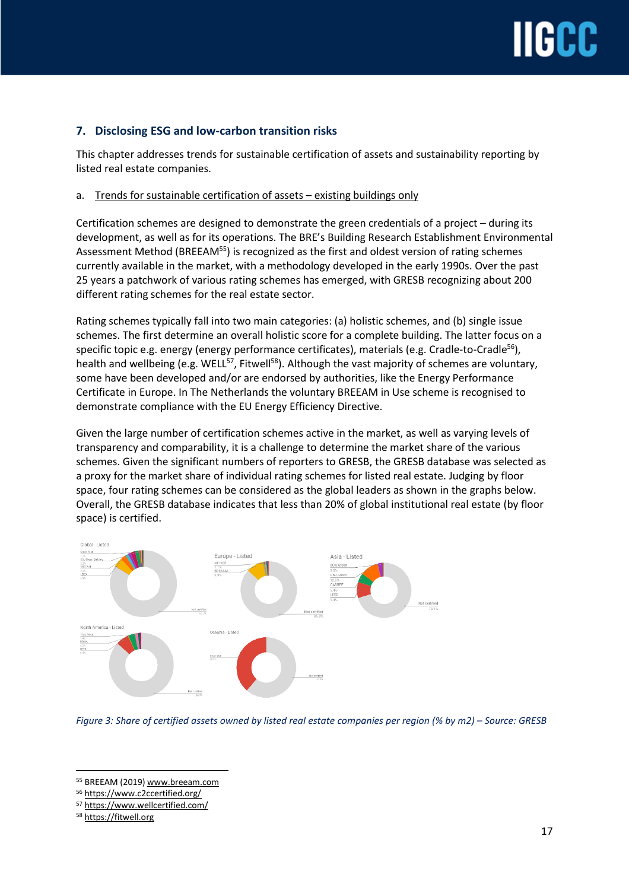## **7. Disclosing ESG and low-carbon transition risks**

This chapter addresses trends for sustainable certification of assets and sustainability reporting by listed real estate companies.

## a. Trends for sustainable certification of assets – existing buildings only

Certification schemes are designed to demonstrate the green credentials of a project – during its development, as well as for its operations. The BRE's Building Research Establishment Environmental Assessment Method (BREEAM<sup>55</sup>) is recognized as the first and oldest version of rating schemes currently available in the market, with a methodology developed in the early 1990s. Over the past 25 years a patchwork of various rating schemes has emerged, with GRESB recognizing about 200 different rating schemes for the real estate sector.

Rating schemes typically fall into two main categories: (a) holistic schemes, and (b) single issue schemes. The first determine an overall holistic score for a complete building. The latter focus on a specific topic e.g. energy (energy performance certificates), materials (e.g. Cradle-to-Cradle<sup>56</sup>), health and wellbeing (e.g. WELL<sup>57</sup>, Fitwell<sup>58</sup>). Although the vast majority of schemes are voluntary, some have been developed and/or are endorsed by authorities, like the Energy Performance Certificate in Europe. In The Netherlands the voluntary BREEAM in Use scheme is recognised to demonstrate compliance with the EU Energy Efficiency Directive.

Given the large number of certification schemes active in the market, as well as varying levels of transparency and comparability, it is a challenge to determine the market share of the various schemes. Given the significant numbers of reporters to GRESB, the GRESB database was selected as a proxy for the market share of individual rating schemes for listed real estate. Judging by floor space, four rating schemes can be considered as the global leaders as shown in the graphs below. Overall, the GRESB database indicates that less than 20% of global institutional real estate (by floor space) is certified.



Figure 3: Share of certified assets owned by listed real estate companies per region (% by m2) - Source: GRESB

<sup>55</sup> BREEAM (2019) [www.breeam.com](http://www.breeam.com/)

<sup>56</sup> <https://www.c2ccertified.org/>

<sup>57</sup> <https://www.wellcertified.com/>

<sup>58</sup> https://fitwell.org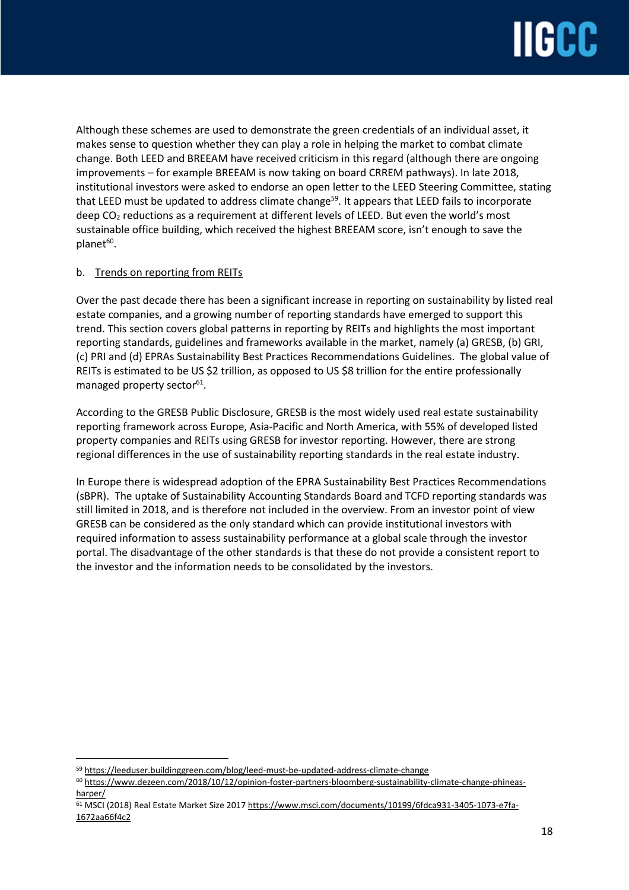

Although these schemes are used to demonstrate the green credentials of an individual asset, it makes sense to question whether they can play a role in helping the market to combat climate change. Both LEED and BREEAM have received criticism in this regard (although there are ongoing improvements – for example BREEAM is now taking on board CRREM pathways). In late 2018, institutional investors were asked to endorse an open letter to the LEED Steering Committee, stating that LEED must be updated to address climate change<sup>59</sup>. It appears that LEED fails to incorporate deep CO<sub>2</sub> reductions as a requirement at different levels of LEED. But even the world's most sustainable office building, which received the highest BREEAM score, isn't enough to save the planet<sup>60</sup>.

## b. Trends on reporting from REITs

Over the past decade there has been a significant increase in reporting on sustainability by listed real estate companies, and a growing number of reporting standards have emerged to support this trend. This section covers global patterns in reporting by REITs and highlights the most important reporting standards, guidelines and frameworks available in the market, namely (a) GRESB, (b) GRI, (c) PRI and (d) EPRAs Sustainability Best Practices Recommendations Guidelines. The global value of REITs is estimated to be US \$2 trillion, as opposed to US \$8 trillion for the entire professionally managed property sector<sup>61</sup>.

According to the GRESB Public Disclosure, GRESB is the most widely used real estate sustainability reporting framework across Europe, Asia-Pacific and North America, with 55% of developed listed property companies and REITs using GRESB for investor reporting. However, there are strong regional differences in the use of sustainability reporting standards in the real estate industry.

In Europe there is widespread adoption of the EPRA Sustainability Best Practices Recommendations (sBPR). The uptake of Sustainability Accounting Standards Board and TCFD reporting standards was still limited in 2018, and is therefore not included in the overview. From an investor point of view GRESB can be considered as the only standard which can provide institutional investors with required information to assess sustainability performance at a global scale through the investor portal. The disadvantage of the other standards is that these do not provide a consistent report to the investor and the information needs to be consolidated by the investors.

<sup>59</sup> <https://leeduser.buildinggreen.com/blog/leed-must-be-updated-address-climate-change>

<sup>60</sup> [https://www.dezeen.com/2018/10/12/opinion-foster-partners-bloomberg-sustainability-climate-change-phineas](https://www.dezeen.com/2018/10/12/opinion-foster-partners-bloomberg-sustainability-climate-change-phineas-harper/)[harper/](https://www.dezeen.com/2018/10/12/opinion-foster-partners-bloomberg-sustainability-climate-change-phineas-harper/)

<sup>&</sup>lt;sup>61</sup> MSCI (2018) Real Estate Market Size 2017 [https://www.msci.com/documents/10199/6fdca931-3405-1073-e7fa-](https://www.msci.com/documents/10199/6fdca931-3405-1073-e7fa-1672aa66f4c2)[1672aa66f4c2](https://www.msci.com/documents/10199/6fdca931-3405-1073-e7fa-1672aa66f4c2)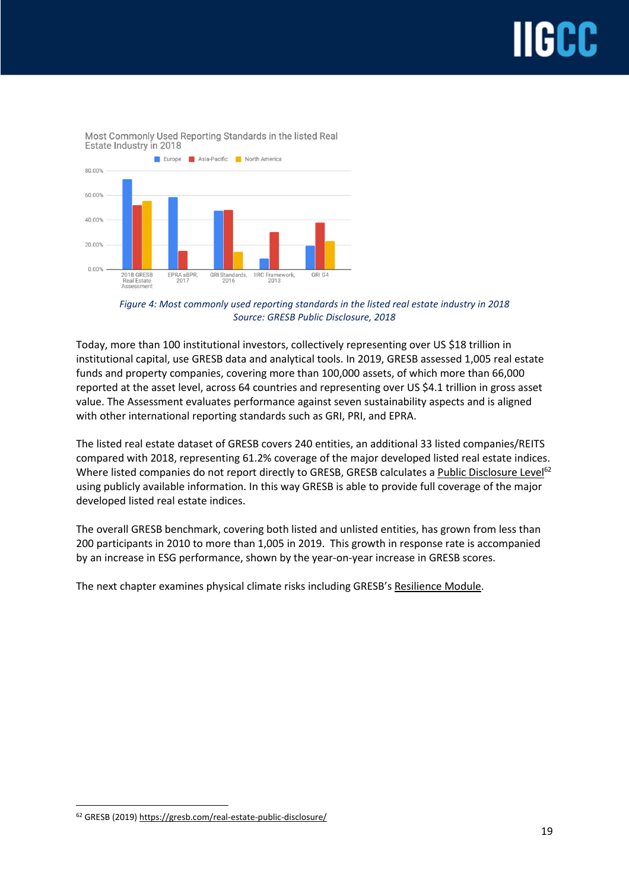

Most Commonly Used Reporting Standards in the listed Real Estate Industry in 2018

Today, more than 100 institutional investors, collectively representing over US \$18 trillion in institutional capital, use GRESB data and analytical tools. In 2019, GRESB assessed 1,005 real estate funds and property companies, covering more than 100,000 assets, of which more than 66,000 reported at the asset level, across 64 countries and representing over US \$4.1 trillion in gross asset value. The Assessment evaluates performance against seven sustainability aspects and is aligned with other international reporting standards such as GRI, PRI, and EPRA.

The listed real estate dataset of GRESB covers 240 entities, an additional 33 listed companies/REITS compared with 2018, representing 61.2% coverage of the major developed listed real estate indices. Where listed companies do not report directly to GRESB, GRESB calculates a Public Disclosure Level<sup>62</sup> using publicly available information. In this way GRESB is able to provide full coverage of the major developed listed real estate indices.

The overall GRESB benchmark, covering both listed and unlisted entities, has grown from less than 200 participants in 2010 to more than 1,005 in 2019. This growth in response rate is accompanied by an increase in ESG performance, shown by the year-on-year increase in GRESB scores.

The next chapter examines physical climate risks including GRESB's Resilience Module.

*Figure 4: Most commonly used reporting standards in the listed real estate industry in 2018 Source: GRESB Public Disclosure, 2018*

<sup>62</sup> GRESB (2019) <https://gresb.com/real-estate-public-disclosure/>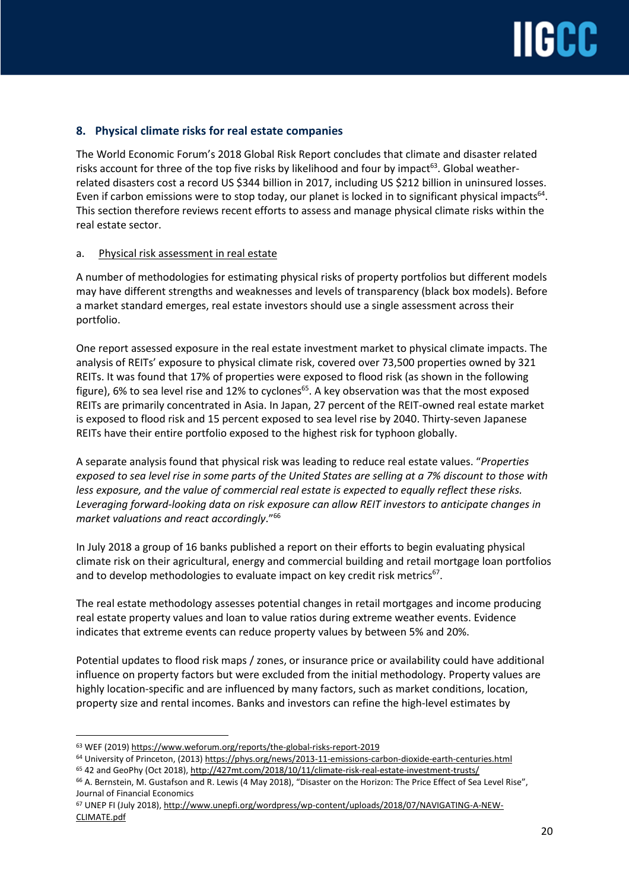## **8. Physical climate risks for real estate companies**

The World Economic Forum's 2018 Global Risk Report concludes that climate and disaster related risks account for three of the top five risks by likelihood and four by impact $^{\rm 63}$ . Global weatherrelated disasters cost a record US \$344 billion in 2017, including US \$212 billion in uninsured losses. Even if carbon emissions were to stop today, our planet is locked in to significant physical impacts $^{64}$ . This section therefore reviews recent efforts to assess and manage physical climate risks within the real estate sector.

## a. Physical risk assessment in real estate

A number of methodologies for estimating physical risks of property portfolios but different models may have different strengths and weaknesses and levels of transparency (black box models). Before a market standard emerges, real estate investors should use a single assessment across their portfolio.

One report assessed exposure in the real estate investment market to physical climate impacts. The analysis of REITs' exposure to physical climate risk, covered over 73,500 properties owned by 321 REITs. It was found that 17% of properties were exposed to flood risk (as shown in the following figure), 6% to sea level rise and 12% to cyclones<sup>65</sup>. A key observation was that the most exposed REITs are primarily concentrated in Asia. In Japan, 27 percent of the REIT-owned real estate market is exposed to flood risk and 15 percent exposed to sea level rise by 2040. Thirty-seven Japanese REITs have their entire portfolio exposed to the highest risk for typhoon globally.

A separate analysis found that physical risk was leading to reduce real estate values. "*Properties* exposed to sea level rise in some parts of the United States are selling at a 7% discount to those with *less exposure, and the value of commercial real estate is expected to equally reflect these risks. Leveraging forward-looking data on risk exposure can allow REIT investors to anticipate changes in market valuations and react accordingly*."<sup>66</sup>

In July 2018 a group of 16 banks published a report on their efforts to begin evaluating physical climate risk on their agricultural, energy and commercial building and retail mortgage loan portfolios and to develop methodologies to evaluate impact on key credit risk metrics<sup>67</sup>.

The real estate methodology assesses potential changes in retail mortgages and income producing real estate property values and loan to value ratios during extreme weather events. Evidence indicates that extreme events can reduce property values by between 5% and 20%.

Potential updates to flood risk maps / zones, or insurance price or availability could have additional influence on property factors but were excluded from the initial methodology. Property values are highly location-specific and are influenced by many factors, such as market conditions, location, property size and rental incomes. Banks and investors can refine the high-level estimates by

<sup>63</sup> WEF (2019) https://www.weforum.org/reports/the-global-risks-report-2019

<sup>64</sup> University of Princeton, (2013) <https://phys.org/news/2013-11-emissions-carbon-dioxide-earth-centuries.html>

<sup>&</sup>lt;sup>65</sup> 42 and GeoPhy (Oct 2018), <http://427mt.com/2018/10/11/climate-risk-real-estate-investment-trusts/>

<sup>&</sup>lt;sup>66</sup> A. Bernstein, M. Gustafson and R. Lewis (4 May 2018), "Disaster on the Horizon: The Price Effect of Sea Level Rise", Journal of Financial Economics

<sup>67</sup> UNEP FI (July 2018), [http://www.unepfi.org/wordpress/wp-content/uploads/2018/07/NAVIGATING-A-NEW-](http://www.unepfi.org/wordpress/wp-content/uploads/2018/07/NAVIGATING-A-NEW-CLIMATE.pdf)[CLIMATE.pdf](http://www.unepfi.org/wordpress/wp-content/uploads/2018/07/NAVIGATING-A-NEW-CLIMATE.pdf)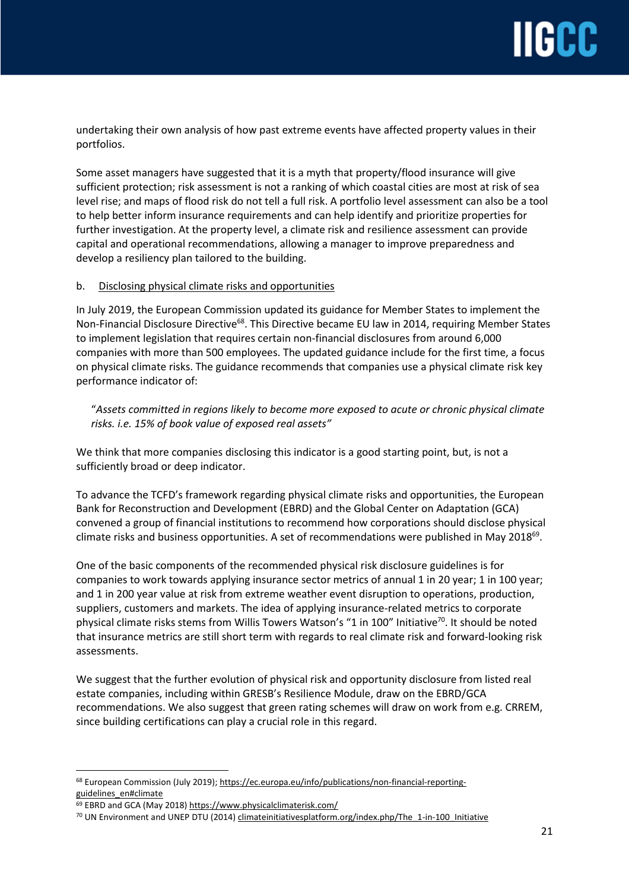undertaking their own analysis of how past extreme events have affected property values in their portfolios.

Some asset managers have suggested that it is a myth that property/flood insurance will give sufficient protection; risk assessment is not a ranking of which coastal cities are most at risk of sea level rise; and maps of flood risk do not tell a full risk. A portfolio level assessment can also be a tool to help better inform insurance requirements and can help identify and prioritize properties for further investigation. At the property level, a climate risk and resilience assessment can provide capital and operational recommendations, allowing a manager to improve preparedness and develop a resiliency plan tailored to the building.

## b. Disclosing physical climate risks and opportunities

In July 2019, the European Commission updated its guidance for Member States to implement the Non-Financial Disclosure Directive<sup>68</sup>. This Directive became EU law in 2014, requiring Member States to implement legislation that requires certain non-financial disclosures from around 6,000 companies with more than 500 employees. The updated guidance include for the first time, a focus on physical climate risks. The guidance recommends that companies use a physical climate risk key performance indicator of:

## "*Assets committed in regions likely to become more exposed to acute or chronic physical climate risks. i.e. 15% of book value of exposed real assets"*

We think that more companies disclosing this indicator is a good starting point, but, is not a sufficiently broad or deep indicator.

To advance the TCFD's framework regarding physical climate risks and opportunities, the European Bank for Reconstruction and Development (EBRD) and the Global Center on Adaptation (GCA) convened a group of financial institutions to recommend how corporations should disclose physical climate risks and business opportunities. A set of recommendations were published in May 2018 $^{69}$ .

One of the basic components of the recommended physical risk disclosure guidelines is for companies to work towards applying insurance sector metrics of annual 1 in 20 year; 1 in 100 year; and 1 in 200 year value at risk from extreme weather event disruption to operations, production, suppliers, customers and markets. The idea of applying insurance-related metrics to corporate physical climate risks stems from Willis Towers Watson's "1 in 100" Initiative<sup>70</sup>. It should be noted that insurance metrics are still short term with regards to real climate risk and forward-looking risk assessments.

We suggest that the further evolution of physical risk and opportunity disclosure from listed real estate companies, including within GRESB's Resilience Module, draw on the EBRD/GCA recommendations. We also suggest that green rating schemes will draw on work from e.g. CRREM, since building certifications can play a crucial role in this regard.

<sup>68</sup> European Commission (July 2019); [https://ec.europa.eu/info/publications/non-financial-reporting](https://ec.europa.eu/info/publications/non-financial-reporting-guidelines_en#climate)[guidelines\\_en#climate](https://ec.europa.eu/info/publications/non-financial-reporting-guidelines_en#climate)

<sup>69</sup> EBRD and GCA (May 2018) <https://www.physicalclimaterisk.com/>

<sup>&</sup>lt;sup>70</sup> UN Environment and UNEP DTU (2014) climateinitiativesplatform.org/index.php/The\_1-in-100\_Initiative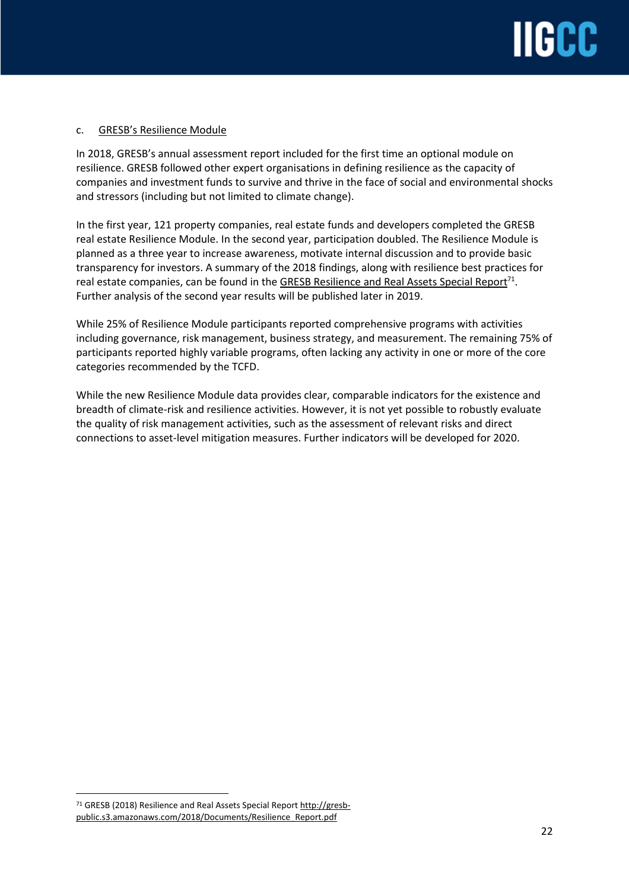

### c. GRESB's Resilience Module

In 2018, GRESB's annual assessment report included for the first time an optional module on resilience. GRESB followed other expert organisations in defining resilience as the capacity of companies and investment funds to survive and thrive in the face of social and environmental shocks and stressors (including but not limited to climate change).

In the first year, 121 property companies, real estate funds and developers completed the GRESB real estate Resilience Module. In the second year, participation doubled. The Resilience Module is planned as a three year to increase awareness, motivate internal discussion and to provide basic transparency for investors. A summary of the 2018 findings, along with resilience best practices for real estate companies, can be found in the GRESB Resilience and Real Assets Special Report<sup>71</sup>. Further analysis of the second year results will be published later in 2019.

While 25% of Resilience Module participants reported comprehensive programs with activities including governance, risk management, business strategy, and measurement. The remaining 75% of participants reported highly variable programs, often lacking any activity in one or more of the core categories recommended by the TCFD.

While the new Resilience Module data provides clear, comparable indicators for the existence and breadth of climate-risk and resilience activities. However, it is not yet possible to robustly evaluate the quality of risk management activities, such as the assessment of relevant risks and direct connections to asset-level mitigation measures. Further indicators will be developed for 2020.

<sup>71</sup> GRESB (2018) Resilience and Real Assets Special Report [http://gresb](http://gresb-public.s3.amazonaws.com/2018/Documents/Resilience_Report.pdf)[public.s3.amazonaws.com/2018/Documents/Resilience\\_Report.pdf](http://gresb-public.s3.amazonaws.com/2018/Documents/Resilience_Report.pdf)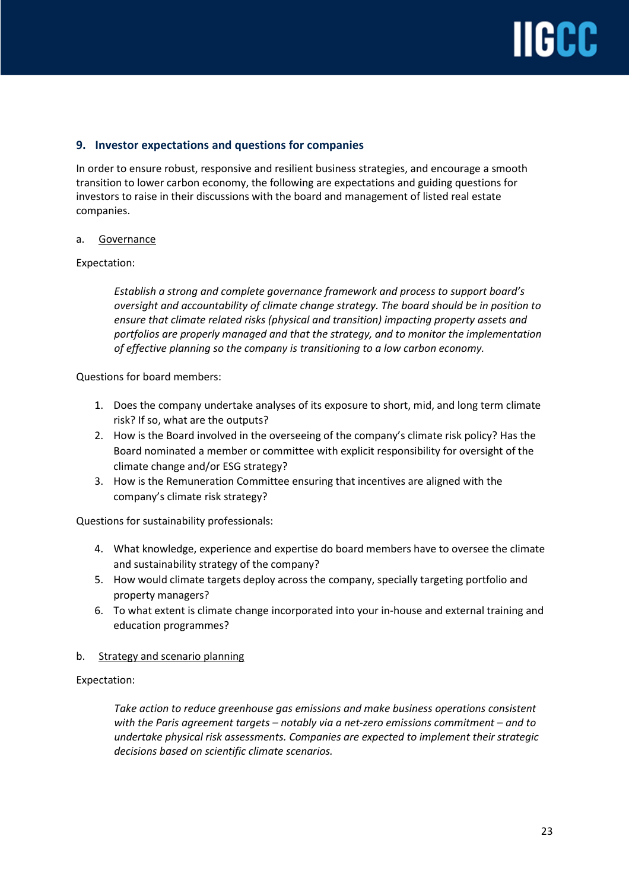## **IIIGCC**

## **9. Investor expectations and questions for companies**

In order to ensure robust, responsive and resilient business strategies, and encourage a smooth transition to lower carbon economy, the following are expectations and guiding questions for investors to raise in their discussions with the board and management of listed real estate companies.

## a. Governance

## Expectation:

*Establish a strong and complete governance framework and process to support board's oversight and accountability of climate change strategy. The board should be in position to ensure that climate related risks (physical and transition) impacting property assets and portfolios are properly managed and that the strategy, and to monitor the implementation of effective planning so the company is transitioning to a low carbon economy.*

Questions for board members:

- 1. Does the company undertake analyses of its exposure to short, mid, and long term climate risk? If so, what are the outputs?
- 2. How is the Board involved in the overseeing of the company's climate risk policy? Has the Board nominated a member or committee with explicit responsibility for oversight of the climate change and/or ESG strategy?
- 3. How is the Remuneration Committee ensuring that incentives are aligned with the company's climate risk strategy?

Questions for sustainability professionals:

- 4. What knowledge, experience and expertise do board members have to oversee the climate and sustainability strategy of the company?
- 5. How would climate targets deploy across the company, specially targeting portfolio and property managers?
- 6. To what extent is climate change incorporated into your in-house and external training and education programmes?

### b. Strategy and scenario planning

## Expectation:

*Take action to reduce greenhouse gas emissions and make business operations consistent with the Paris agreement targets – notably via a net-zero emissions commitment – and to undertake physical risk assessments. Companies are expected to implement their strategic decisions based on scientific climate scenarios.*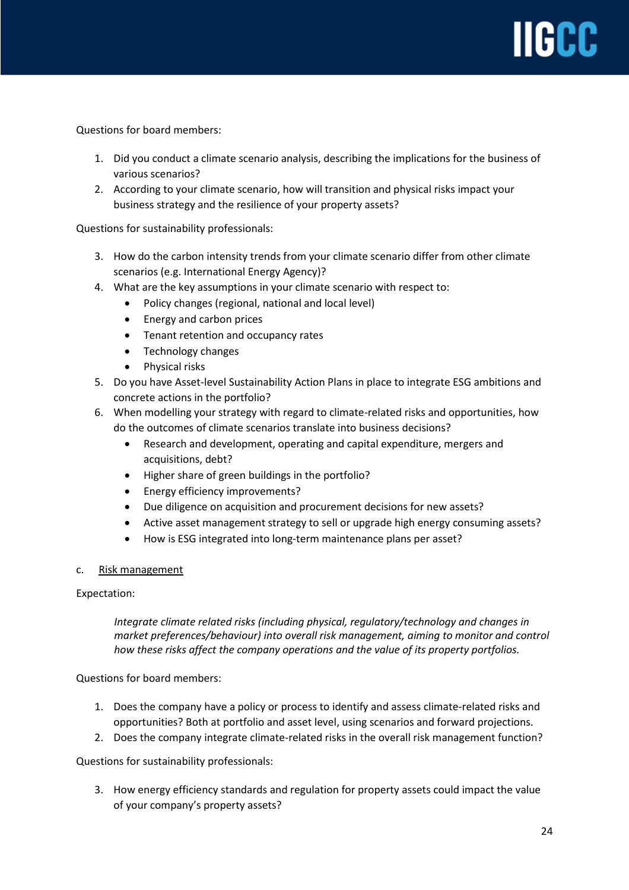Questions for board members:

- 1. Did you conduct a climate scenario analysis, describing the implications for the business of various scenarios?
- 2. According to your climate scenario, how will transition and physical risks impact your business strategy and the resilience of your property assets?

Questions for sustainability professionals:

- 3. How do the carbon intensity trends from your climate scenario differ from other climate scenarios (e.g. International Energy Agency)?
- 4. What are the key assumptions in your climate scenario with respect to:
	- Policy changes (regional, national and local level)
	- Energy and carbon prices
	- Tenant retention and occupancy rates
	- Technology changes
	- Physical risks
- 5. Do you have Asset-level Sustainability Action Plans in place to integrate ESG ambitions and concrete actions in the portfolio?
- 6. When modelling your strategy with regard to climate-related risks and opportunities, how do the outcomes of climate scenarios translate into business decisions?
	- Research and development, operating and capital expenditure, mergers and acquisitions, debt?
	- Higher share of green buildings in the portfolio?
	- Energy efficiency improvements?
	- Due diligence on acquisition and procurement decisions for new assets?
	- Active asset management strategy to sell or upgrade high energy consuming assets?
	- How is ESG integrated into long-term maintenance plans per asset?

## c. Risk management

## Expectation:

*Integrate climate related risks (including physical, regulatory/technology and changes in market preferences/behaviour) into overall risk management, aiming to monitor and control how these risks affect the company operations and the value of its property portfolios.* 

Questions for board members:

- 1. Does the company have a policy or process to identify and assess climate-related risks and opportunities? Both at portfolio and asset level, using scenarios and forward projections.
- 2. Does the company integrate climate-related risks in the overall risk management function?

Questions for sustainability professionals:

3. How energy efficiency standards and regulation for property assets could impact the value of your company's property assets?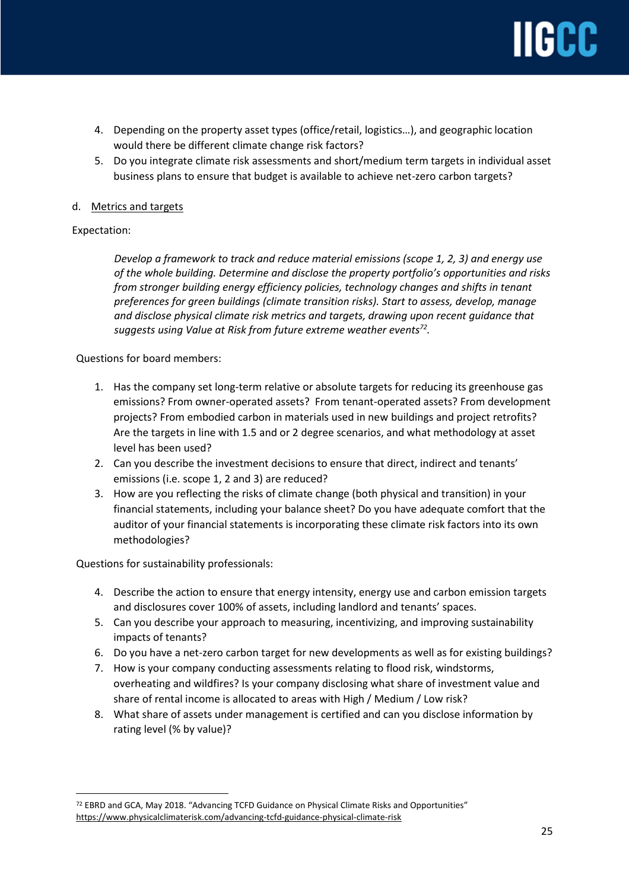- 4. Depending on the property asset types (office/retail, logistics…), and geographic location would there be different climate change risk factors?
- 5. Do you integrate climate risk assessments and short/medium term targets in individual asset business plans to ensure that budget is available to achieve net-zero carbon targets?

## d. Metrics and targets

## Expectation:

 $\overline{a}$ 

*Develop a framework to track and reduce material emissions (scope 1, 2, 3) and energy use of the whole building. Determine and disclose the property portfolio's opportunities and risks from stronger building energy efficiency policies, technology changes and shifts in tenant preferences for green buildings (climate transition risks). Start to assess, develop, manage and disclose physical climate risk metrics and targets, drawing upon recent guidance that suggests using Value at Risk from future extreme weather events<sup>72</sup> .*

Questions for board members:

- 1. Has the company set long-term relative or absolute targets for reducing its greenhouse gas emissions? From owner-operated assets? From tenant-operated assets? From development projects? From embodied carbon in materials used in new buildings and project retrofits? Are the targets in line with 1.5 and or 2 degree scenarios, and what methodology at asset level has been used?
- 2. Can you describe the investment decisions to ensure that direct, indirect and tenants' emissions (i.e. scope 1, 2 and 3) are reduced?
- 3. How are you reflecting the risks of climate change (both physical and transition) in your financial statements, including your balance sheet? Do you have adequate comfort that the auditor of your financial statements is incorporating these climate risk factors into its own methodologies?

Questions for sustainability professionals:

- 4. Describe the action to ensure that energy intensity, energy use and carbon emission targets and disclosures cover 100% of assets, including landlord and tenants' spaces.
- 5. Can you describe your approach to measuring, incentivizing, and improving sustainability impacts of tenants?
- 6. Do you have a net-zero carbon target for new developments as well as for existing buildings?
- 7. How is your company conducting assessments relating to flood risk, windstorms, overheating and wildfires? Is your company disclosing what share of investment value and share of rental income is allocated to areas with High / Medium / Low risk?
- 8. What share of assets under management is certified and can you disclose information by rating level (% by value)?

<sup>72</sup> EBRD and GCA, May 2018. "Advancing TCFD Guidance on Physical Climate Risks and Opportunities" <https://www.physicalclimaterisk.com/advancing-tcfd-guidance-physical-climate-risk>